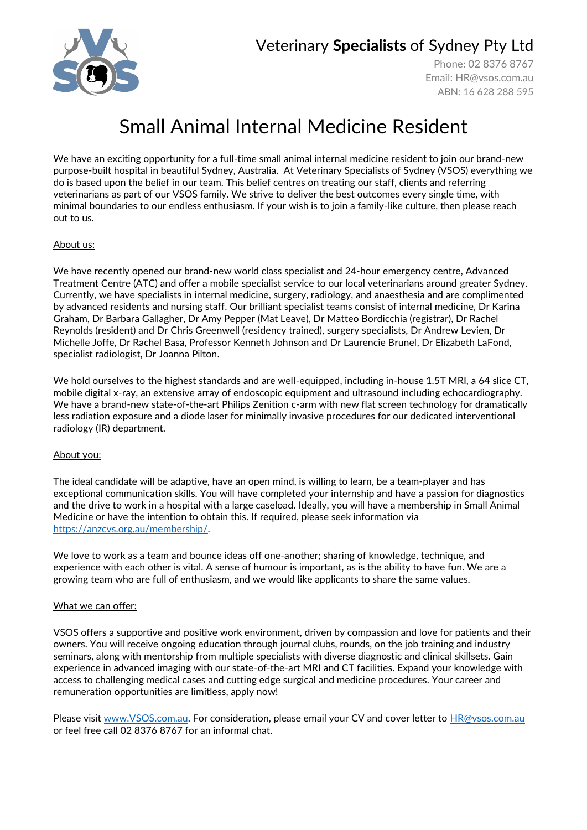Veterinary **Specialists** of Sydney Pty Ltd



Phone: 02 8376 8767 Email: [HR@vsos.com.au](mailto:HR@vsos.com.au) ABN: 16 628 288 595

# Small Animal Internal Medicine Resident

We have an exciting opportunity for a full-time small animal internal medicine resident to join our brand-new purpose-built hospital in beautiful Sydney, Australia. At Veterinary Specialists of Sydney (VSOS) everything we do is based upon the belief in our team. This belief centres on treating our staff, clients and referring veterinarians as part of our VSOS family. We strive to deliver the best outcomes every single time, with minimal boundaries to our endless enthusiasm. If your wish is to join a family-like culture, then please reach out to us.

### About us:

We have recently opened our brand-new world class specialist and 24-hour emergency centre, Advanced Treatment Centre (ATC) and offer a mobile specialist service to our local veterinarians around greater Sydney. Currently, we have specialists in internal medicine, surgery, radiology, and anaesthesia and are complimented by advanced residents and nursing staff. Our brilliant specialist teams consist of internal medicine, Dr Karina Graham, Dr Barbara Gallagher, Dr Amy Pepper (Mat Leave), Dr Matteo Bordicchia (registrar), Dr Rachel Reynolds (resident) and Dr Chris Greenwell (residency trained), surgery specialists, Dr Andrew Levien, Dr Michelle Joffe, Dr Rachel Basa, Professor Kenneth Johnson and Dr Laurencie Brunel, Dr Elizabeth LaFond, specialist radiologist, Dr Joanna Pilton.

We hold ourselves to the highest standards and are well-equipped, including in-house 1.5T MRI, a 64 slice CT, mobile digital x-ray, an extensive array of endoscopic equipment and ultrasound including echocardiography. We have a brand-new state-of-the-art Philips Zenition c-arm with new flat screen technology for dramatically less radiation exposure and a diode laser for minimally invasive procedures for our dedicated interventional radiology (IR) department.

#### About you:

The ideal candidate will be adaptive, have an open mind, is willing to learn, be a team-player and has exceptional communication skills. You will have completed your internship and have a passion for diagnostics and the drive to work in a hospital with a large caseload. Ideally, you will have a membership in Small Animal Medicine or have the intention to obtain this. If required, please seek information via [https://anzcvs.org.au/membership/.](https://anzcvs.org.au/membership/)

We love to work as a team and bounce ideas off one-another; sharing of knowledge, technique, and experience with each other is vital. A sense of humour is important, as is the ability to have fun. We are a growing team who are full of enthusiasm, and we would like applicants to share the same values.

#### What we can offer:

VSOS offers a supportive and positive work environment, driven by compassion and love for patients and their owners. You will receive ongoing education through journal clubs, rounds, on the job training and industry seminars, along with mentorship from multiple specialists with diverse diagnostic and clinical skillsets. Gain experience in advanced imaging with our state-of-the-art MRI and CT facilities. Expand your knowledge with access to challenging medical cases and cutting edge surgical and medicine procedures. Your career and remuneration opportunities are limitless, apply now!

Please visit [www.VSOS.com.au.](http://www.vsos.com.au/) For consideration, please email your CV and cover letter to **HR@vsos.com.au** or feel free call 02 8376 8767 for an informal chat.